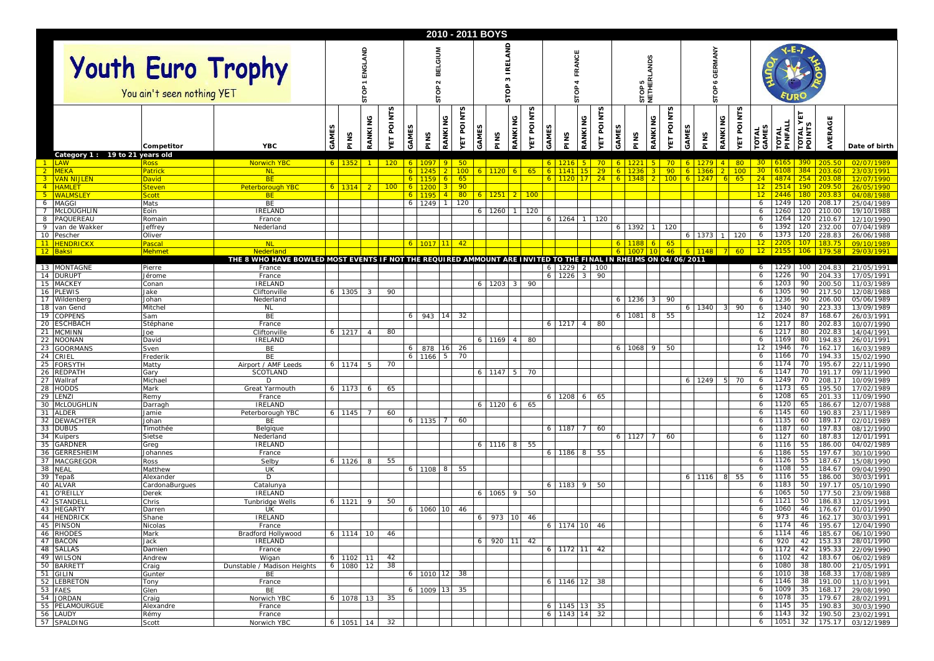|                        | 2010 - 2011 BOYS                                       |                              |                                                                                                                |                |                |                |                    |                                     |                               |                |                         |                             |                                     |                                |             |                   |                 |                          |                |                   |                |              |                                      |               |                |                      |                       |                    |                         |                           |                                                         |
|------------------------|--------------------------------------------------------|------------------------------|----------------------------------------------------------------------------------------------------------------|----------------|----------------|----------------|--------------------|-------------------------------------|-------------------------------|----------------|-------------------------|-----------------------------|-------------------------------------|--------------------------------|-------------|-------------------|-----------------|--------------------------|----------------|-------------------|----------------|--------------|--------------------------------------|---------------|----------------|----------------------|-----------------------|--------------------|-------------------------|---------------------------|---------------------------------------------------------|
|                        | <b>Youth Euro Trophy</b><br>You ain't seen nothing YET |                              |                                                                                                                |                |                | SТO            |                    | <b>BELGIUM</b><br>$\sim$<br>p<br>ò۵ |                               |                |                         | LAND<br>ᄑ<br>∝<br>M<br>eprs |                                     |                                |             | FRANCE<br>혼<br>'n |                 |                          |                | STOP 5<br>NETHERI | <b>LANDS</b>   |              | <b>GERMANY</b><br>co<br>௳<br>힡<br>'n |               |                |                      |                       |                    |                         |                           |                                                         |
|                        | Category 1 : 19 to 21 years old                        | Competitor                   | <b>YBC</b>                                                                                                     | GAME           | PINS           | RANKING        | <b>POINTS</b><br>Ы | S<br><b>GAME</b>                    | PINS                          | š<br>RANKI     | S<br><b>POINT</b><br>ÀΣ | GAMES                       | RANKING<br>PINS                     | n<br>POINT <sup>.</sup><br>YЕT | <b>GAME</b> |                   | RANKING<br>PINS | n<br><b>POINT</b><br>YЕT | AME            | PINS              | RANKING        | POINTS<br>L. | GAMES                                | PINS          | RANKING        | n<br><b>ET POINT</b> | <b>TOTAL</b><br>GAMES | TOTAL<br>PINFALL   | ΥЕΤ<br>s<br><b>OTAL</b> | AVERAGE                   | Date of birth                                           |
|                        | LAW                                                    | Ross                         | <b>Norwich YBC</b>                                                                                             | 6 <sup>1</sup> | 1352           |                | 120                |                                     | $6 \mid 1097$                 | 9              | $50 -$                  |                             |                                     |                                |             | 6 1216            | $-5$            | $70^{\circ}$             | 6 <sup>1</sup> | 1221              | $-5$           | 706          |                                      | $1279$ $4$    |                | 80                   | 30 <sup>2</sup>       |                    |                         | $6165$ 390 205.50         | 02/07/1989                                              |
| $\sqrt{2}$             | <b>MEKA</b>                                            | Patrick                      | <b>NI</b>                                                                                                      |                |                |                |                    |                                     |                               |                | 100                     |                             | 6 1120<br> 6                        | $-65$                          |             | $6 \mid 1141$     |                 | 29                       |                | 1236              |                | 90           |                                      | 1366          | $\overline{2}$ | 100                  | 30 <sup>°</sup>       |                    |                         | 203.60                    | 23/03/1991                                              |
| 3 <sup>2</sup><br>$-4$ | <b>VAN NIJLEN</b><br><b>HAMLET</b>                     | <b>David</b><br>Steven       | <b>BE</b><br><b>Peterborough YBC</b>                                                                           | 6.             | <b>1314</b>    | $2^{\circ}$    | 100                |                                     | $6$   1159                    |                | 65<br>90                |                             |                                     |                                |             | 6 1120            | 17              | 24                       |                | 6 1348            | $\overline{2}$ | 100          |                                      | 1247          | 6              | 65                   | 24<br>12 <sub>1</sub> | 2514.              |                         | 4874 254 203.08<br>209.50 | 12/07/1990<br>26/05/1990                                |
| $-5$                   | <b>WALMSLEY</b>                                        | Scott                        | <b>BE</b>                                                                                                      |                |                |                |                    |                                     | 1195                          | $\overline{4}$ | 80 <sub>1</sub>         |                             | 6 1251                              | <b>2</b> 100                   |             |                   |                 |                          |                |                   |                |              |                                      |               |                |                      | 12 <sub>2</sub>       | 2446               | <u> 180 - </u>          | 203.83                    | 04/08/1988                                              |
| 6                      | <b>MAGGI</b>                                           | Mats                         | BE                                                                                                             |                |                |                |                    |                                     | 6 1249                        |                | 120                     |                             |                                     |                                |             |                   |                 |                          |                |                   |                |              |                                      |               |                |                      | 6                     | 1249               | 120                     | 208.17                    | 25/04/1989                                              |
| $\overline{7}$<br>8    | McLOUGHLIN<br>PAQUEREAU                                | Eoin<br>Romain               | <b>IRELAND</b><br>France                                                                                       |                |                |                |                    |                                     |                               |                |                         |                             | 6 1260                              | 120                            |             |                   | $6$ 1264 1      | 120                      |                |                   |                |              |                                      |               |                |                      | 6<br>6                | 1260<br>1264       | 120<br>120              | 210.00<br>210.67          | 19/10/1988<br>12/10/1990                                |
| - 9                    | van de Wakker                                          | Jeffrey                      | Nederland                                                                                                      |                |                |                |                    |                                     |                               |                |                         |                             |                                     |                                |             |                   |                 |                          | 6              | 1392              |                | 120          |                                      |               |                |                      | 6                     | 1392               | 120                     | 232.00                    | 07/04/1989                                              |
|                        | 10 Pescher                                             | Oliver                       |                                                                                                                |                |                |                |                    |                                     |                               |                |                         |                             |                                     |                                |             |                   |                 |                          |                |                   |                |              |                                      | 6 1373 1 120  |                |                      | 6                     | 1373               |                         | 120 228.83                | 26/06/1988                                              |
| 11                     | <b>HENDRICKX</b><br>12 Baksi                           | Pascal<br>Mehme <sup>.</sup> | <b>NL</b><br>Nederland                                                                                         |                |                |                |                    |                                     | 6 1017 11                     |                | 42 <sup>°</sup>         |                             |                                     |                                |             |                   |                 |                          | 6 <sup>1</sup> | 6 1007            | $10^{-7}$      | -65<br>46    |                                      | $6 \mid 1148$ | $7$ 60         |                      | $12 \,$<br>12         |                    | 107<br>106              | 179.58                    | 09/10/1989<br>29/03/1991                                |
|                        |                                                        |                              | THE 8 WHO HAVE BOWLED MOST EVENTS IF NOT THE REQUIRED AMMOUNT ARE INVITED TO THE FINAL IN RHEIMS ON 04/06/2011 |                |                |                |                    |                                     |                               |                |                         |                             |                                     |                                |             |                   |                 |                          |                |                   |                |              |                                      |               |                |                      |                       |                    |                         |                           |                                                         |
|                        | 13 MONTAGNE                                            | Pierre                       | France                                                                                                         |                |                |                |                    |                                     |                               |                |                         |                             |                                     |                                |             |                   | 6 1229 2 100    |                          |                |                   |                |              |                                      |               |                |                      | 6                     | 1229               |                         | 100 204.83                | 21/05/1991                                              |
|                        | 14 DURUPT                                              | Jérome                       | France<br><b>IRELAND</b>                                                                                       |                |                |                |                    |                                     |                               |                |                         |                             |                                     |                                |             | $6 \mid 1226$     |                 | 90                       |                |                   |                |              |                                      |               |                |                      | 6                     | 1226<br>1203       | 90<br>90                | 204.33                    | 17/05/1991                                              |
| 15<br>16               | <b>MACKEY</b><br><b>PLEWIS</b>                         | Conan<br>Jake                | Cliftonville                                                                                                   |                | 6 1305         | $\mathbf{3}$   | 90                 |                                     |                               |                |                         |                             | 6 1203<br>$\overline{\phantom{0}3}$ | 90                             |             |                   |                 |                          |                |                   |                |              |                                      |               |                |                      | 6<br>6                | 1305               | 90                      | 200.50<br>217.50          | 11/03/1989<br>12/08/1988                                |
| 17                     | Wildenberg                                             | Johan                        | Nederland                                                                                                      |                |                |                |                    |                                     |                               |                |                         |                             |                                     |                                |             |                   |                 |                          | 61             | 1236              | -3             | 90           |                                      |               |                |                      | 6                     | 1236               | 90                      | 206.00                    | 05/06/1989                                              |
| 18                     | van Gend                                               | Mitchel                      | <b>NL</b>                                                                                                      |                |                |                |                    |                                     |                               |                |                         |                             |                                     |                                |             |                   |                 |                          |                |                   |                |              |                                      | 6 1340        |                | 90                   | 6                     | 1340               | 90                      | 223.33                    | 13/09/1989                                              |
| 19<br>-20              | <b>COPPENS</b><br><b>ESCHBACH</b>                      | Sam<br>Stéphane              | BE<br>France                                                                                                   |                |                |                |                    |                                     | 6 943 14                      |                | 32                      |                             |                                     |                                |             |                   | $\overline{4}$  | 80                       | 6              | 1081              | 8              | 55           |                                      |               |                |                      | 12<br>6               | 2024<br>1217       | 87<br>80                | 168.67<br>202.83          | 26/03/1991                                              |
| 21                     | <b>MCMINN</b>                                          | Joe                          | Cliftonville                                                                                                   |                | 6 1217         | $\overline{4}$ | 80                 |                                     |                               |                |                         |                             |                                     |                                |             | 6 1217            |                 |                          |                |                   |                |              |                                      |               |                |                      | 6                     | 1217               | 80                      | 202.83                    | 10/07/1990<br>14/04/1991                                |
| 22                     | <b>NOONAN</b>                                          | David                        | <b>IRELAND</b>                                                                                                 |                |                |                |                    |                                     |                               |                |                         |                             | $6 \mid 1169 \mid 4 \mid$           | 80                             |             |                   |                 |                          |                |                   |                |              |                                      |               |                |                      | 6                     | 1169               | 80                      | 194.83                    | 26/01/1991                                              |
| 23                     | <b>GOORMANS</b>                                        | Sven                         | BE                                                                                                             |                |                |                |                    |                                     | 6 878                         | 16             | 26                      |                             |                                     |                                |             |                   |                 |                          | 6 I            | 1068              | -9             | 50           |                                      |               |                |                      | 12                    | 1946               | 76                      | 162.17                    | 16/03/1989                                              |
| 24<br>25               | CRIEL<br><b>FORSYTH</b>                                | Frederik<br>Matty            | BE<br>Airport / AMF Leeds                                                                                      |                | 6 1174         | 5              | 70                 |                                     | 6 1166                        | 5              | 70                      |                             |                                     |                                |             |                   |                 |                          |                |                   |                |              |                                      |               |                |                      | 6<br>6                | 1166<br>1174       | 70<br>70                | 194.33<br>195.67          | 15/02/1990<br>22/11/1990                                |
| 26                     | <b>REDPATH</b>                                         | Gary                         | SCOTLAND                                                                                                       |                |                |                |                    |                                     |                               |                |                         |                             | 6 1147 5                            | 70                             |             |                   |                 |                          |                |                   |                |              |                                      |               |                |                      | 6                     | 1147               | 70                      | 191.17                    | 09/11/1990                                              |
| 27                     | Wallraf                                                | Michael                      | D                                                                                                              |                |                |                |                    |                                     |                               |                |                         |                             |                                     |                                |             |                   |                 |                          |                |                   |                |              | 6                                    | 1249          |                | 70                   | 6                     | 1249               | 70                      | 208.17                    | 10/09/1989                                              |
| 29                     | 28 HODDS<br>LENZI                                      | Mark                         | Great Yarmouth                                                                                                 |                | 6 1173         | 6              | 65                 |                                     |                               |                |                         |                             |                                     |                                |             |                   |                 |                          |                |                   |                |              |                                      |               |                |                      | 6<br>6                | 1173<br>1208       | 65<br>65                | 195.50<br>201.33          | 17/02/1989                                              |
| 30                     | McLOUGHLIN                                             | Remy<br>Darragh              | France<br><b>IRELAND</b>                                                                                       |                |                |                |                    |                                     |                               |                |                         |                             | 6 1120 6                            | 65                             |             | 6 1208            | 6               | 65                       |                |                   |                |              |                                      |               |                |                      | 6                     | 1120               | 65                      | 186.67                    | 11/09/1990<br>12/07/1988                                |
| 31                     | <b>ALDER</b>                                           | Jamie                        | Peterborough YBC                                                                                               | 6              | 1145           | $\mathcal{I}$  | 60                 |                                     |                               |                |                         |                             |                                     |                                |             |                   |                 |                          |                |                   |                |              |                                      |               |                |                      | 6                     | 1145               | 60                      | 190.83                    | 23/11/1989                                              |
| 32                     | <b>DEWACHTER</b>                                       | Johan                        | BE                                                                                                             |                |                |                |                    |                                     | $6$ 1135 7                    |                | 60                      |                             |                                     |                                |             |                   |                 |                          |                |                   |                |              |                                      |               |                |                      | 6                     | 1135               | 60                      | 189.17                    | 02/01/1989                                              |
| 34                     | 33 DUBUS<br>Kuipers                                    | Timothée<br>Sietse           | Belgique<br>Nederland                                                                                          |                |                |                |                    |                                     |                               |                |                         |                             |                                     |                                |             |                   | $6$ 1187 7      | 60                       |                | 6 1127 7          |                | 60           |                                      |               |                |                      | 6<br>6                | 1187<br>1127       | 60<br>60                | 197.83<br>187.83          | 08/12/1990<br>12/01/1991                                |
| 35                     | <b>GARDNER</b>                                         | Greg                         | IRELAND                                                                                                        |                |                |                |                    |                                     |                               |                |                         |                             | $6$ 1116 8 55                       |                                |             |                   |                 |                          |                |                   |                |              |                                      |               |                |                      | 6                     | 1116               | 55                      | 186.00                    | 04/02/1989                                              |
| 36                     | <b>GERRESHEIM</b>                                      | Johannes                     | France                                                                                                         |                |                |                |                    |                                     |                               |                |                         |                             |                                     |                                |             |                   | 6 1186 8        | 55                       |                |                   |                |              |                                      |               |                |                      | 6                     | 1186               | 55                      | 197.67                    | 30/10/1990                                              |
| 37<br>38               | MACGREGOR<br><b>NEAL</b>                               | Ross<br>Matthew              | Selby<br>UK                                                                                                    |                | 6 1126         | 8              | 55                 |                                     | $6$ 1108 8                    |                | 55                      |                             |                                     |                                |             |                   |                 |                          |                |                   |                |              |                                      |               |                |                      | 6<br>6                | 1126<br>1108       | 55<br>55                | 187.67<br>184.67          | 15/08/1990<br>09/04/1990                                |
| 39                     | Tepaß                                                  | Alexander                    | D                                                                                                              |                |                |                |                    |                                     |                               |                |                         |                             |                                     |                                |             |                   |                 |                          |                |                   |                |              |                                      | 6 1116        | 8              | 55                   | 6                     | 1116               | 55                      | 186.00                    | 30/03/1991                                              |
| 40                     | <b>ALVAR</b>                                           | CardonaBurgues               | Catalunya                                                                                                      |                |                |                |                    |                                     |                               |                |                         |                             |                                     |                                |             |                   | $6$ 1183 9      | 50                       |                |                   |                |              |                                      |               |                |                      | 6                     | 1183               | 50                      | 197.17                    | 05/10/1990                                              |
| 41                     | O'REILLY                                               | Derek                        | <b>IRELAND</b>                                                                                                 |                |                |                |                    |                                     |                               |                |                         |                             | 6 1065 9                            | 50                             |             |                   |                 |                          |                |                   |                |              |                                      |               |                |                      | 6                     | 1065               | 50                      | 177.50                    | 23/09/1988                                              |
| 42                     | <b>STANDEL</b><br>43 HEGARTY                           | Chris<br>Darren              | <b>Tunbridge Wells</b><br>UK                                                                                   |                | $6 - 1121$     | 9              | 50                 |                                     | 6 1060 10                     |                | 46                      |                             |                                     |                                |             |                   |                 |                          |                |                   |                |              |                                      |               |                |                      | 6<br>6                | 1121<br>1060       | 50<br>46                | 186.83<br>176.67          | 12/05/1991<br>01/01/1990                                |
|                        | 44 HENDRICK                                            | Shane                        | <b>IRELAND</b>                                                                                                 |                |                |                |                    |                                     |                               |                |                         |                             | 6 973 10                            | 46                             |             |                   |                 |                          |                |                   |                |              |                                      |               |                |                      | 6                     | 973                | 46                      | 162.17                    | 30/03/1991                                              |
|                        | 45 PINSON                                              | Nicolas                      | France                                                                                                         |                |                |                |                    |                                     |                               |                |                         |                             |                                     |                                |             |                   | 6 11/4 10 46    |                          |                |                   |                |              |                                      |               |                |                      | $\circ$               |                    |                         |                           | $11174$ 46 195.67 12/04/1990                            |
|                        | 46 RHODES<br>47 BACON                                  | Mark                         | Bradford Hollywood                                                                                             |                | $6$ 1114 10 46 |                |                    |                                     |                               |                |                         |                             | 6 920 11 42                         |                                |             |                   |                 |                          |                |                   |                |              |                                      |               |                |                      | 6                     |                    |                         |                           | 6 1114 46 185.67 06/10/1990<br>920 42 153.33 28/01/1990 |
|                        | 48 SALLAS                                              | Jack<br>Damien               | IRELAND<br>France                                                                                              |                |                |                |                    |                                     |                               |                |                         |                             |                                     |                                |             |                   | $6$ 1172 11 42  |                          |                |                   |                |              |                                      |               |                |                      | 6                     |                    |                         |                           | 1172 42 195.33 22/09/1990                               |
|                        | 49 WILSON                                              | Andrew                       | Wigan                                                                                                          |                | $6$ 1102 11 42 |                |                    |                                     |                               |                |                         |                             |                                     |                                |             |                   |                 |                          |                |                   |                |              |                                      |               |                |                      | 6                     |                    |                         |                           | 1102 42 183.67 06/02/1989                               |
|                        | 50 BARRETT                                             | Craig                        | Dunstable / Madison Heights                                                                                    |                | 6 1080 12      |                | 38                 |                                     |                               |                |                         |                             |                                     |                                |             |                   |                 |                          |                |                   |                |              |                                      |               |                |                      | 6                     | 1080 38            |                         | 180.00                    | 21/05/1991                                              |
|                        | 51 GILIN<br>52 LEBRETON                                | Gunter<br>Tony               | BE<br>France                                                                                                   |                |                |                |                    |                                     | $6 \mid 1010 \mid 12 \mid 38$ |                |                         |                             |                                     |                                |             |                   | 6 1146 12 38    |                          |                |                   |                |              |                                      |               |                |                      | 6<br>6                | 1010 38<br>1146 38 |                         | 168.33<br>191.00          | 17/08/1989<br>11/03/1991                                |
|                        | 53 FAES                                                | Glen                         | BE                                                                                                             |                |                |                |                    |                                     | 6 1009 13 35                  |                |                         |                             |                                     |                                |             |                   |                 |                          |                |                   |                |              |                                      |               |                |                      | 6                     | 1009 35            |                         |                           | 168.17 29/08/1990                                       |
|                        | 54 JORDAN                                              | Craig                        | Norwich YBC                                                                                                    |                | 6 1078 13 35   |                |                    |                                     |                               |                |                         |                             |                                     |                                |             |                   |                 |                          |                |                   |                |              |                                      |               |                |                      | 6                     | 1078 35            |                         |                           | 179.67 28/02/1991                                       |
|                        | 55 PELAMOURGUE                                         | Alexandre                    | France                                                                                                         |                |                |                |                    |                                     |                               |                |                         |                             |                                     |                                |             |                   | 6 1145 13 35    |                          |                |                   |                |              |                                      |               |                |                      | 6                     | 1145 35            |                         | 190.83                    | 30/03/1990                                              |
|                        | 56 LAUDY<br>57 SPALDING                                | Rémy                         | France                                                                                                         |                |                |                |                    |                                     |                               |                |                         |                             |                                     |                                |             |                   | 6 1143 14 32    |                          |                |                   |                |              |                                      |               |                |                      | 6<br>6 <sup>1</sup>   | 1143 32            |                         | 190.50                    | 23/02/1991<br>1051 32 175.17 03/12/1989                 |
|                        |                                                        | Scott                        | Norwich YBC                                                                                                    |                |                |                | 6 1051 14 32       |                                     |                               |                |                         |                             |                                     |                                |             |                   |                 |                          |                |                   |                |              |                                      |               |                |                      |                       |                    |                         |                           |                                                         |